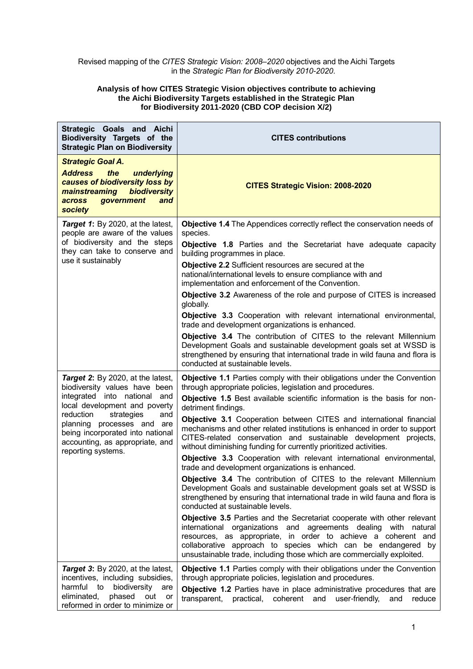## Revised mapping of the *CITES Strategic Vision: 2008–2020* objectives and the Aichi Targets in the *Strategic Plan for Biodiversity 2010-2020*.

## **Analysis of how CITES Strategic Vision objectives contribute to achieving the Aichi Biodiversity Targets established in the Strategic Plan for Biodiversity 2011-2020 (CBD COP decision X/2)**

| Strategic Goals and Aichi<br>Biodiversity Targets of the<br><b>Strategic Plan on Biodiversity</b>                                                                                   | <b>CITES contributions</b>                                                                                                                                                                                                                                                                                                                            |
|-------------------------------------------------------------------------------------------------------------------------------------------------------------------------------------|-------------------------------------------------------------------------------------------------------------------------------------------------------------------------------------------------------------------------------------------------------------------------------------------------------------------------------------------------------|
| <b>Strategic Goal A.</b><br><b>Address</b><br>the<br>underlying<br>causes of biodiversity loss by<br>biodiversity<br>mainstreaming<br>government<br>across<br>and<br><b>society</b> | <b>CITES Strategic Vision: 2008-2020</b>                                                                                                                                                                                                                                                                                                              |
| Target 1: By 2020, at the latest,<br>people are aware of the values<br>of biodiversity and the steps<br>they can take to conserve and<br>use it sustainably                         | Objective 1.4 The Appendices correctly reflect the conservation needs of<br>species.<br>Objective 1.8 Parties and the Secretariat have adequate capacity                                                                                                                                                                                              |
|                                                                                                                                                                                     | building programmes in place.                                                                                                                                                                                                                                                                                                                         |
|                                                                                                                                                                                     | Objective 2.2 Sufficient resources are secured at the<br>national/international levels to ensure compliance with and<br>implementation and enforcement of the Convention.                                                                                                                                                                             |
|                                                                                                                                                                                     | Objective 3.2 Awareness of the role and purpose of CITES is increased<br>globally.                                                                                                                                                                                                                                                                    |
|                                                                                                                                                                                     | Objective 3.3 Cooperation with relevant international environmental,<br>trade and development organizations is enhanced.                                                                                                                                                                                                                              |
|                                                                                                                                                                                     | Objective 3.4 The contribution of CITES to the relevant Millennium<br>Development Goals and sustainable development goals set at WSSD is<br>strengthened by ensuring that international trade in wild fauna and flora is<br>conducted at sustainable levels.                                                                                          |
| Target 2: By 2020, at the latest,<br>biodiversity values have been                                                                                                                  | Objective 1.1 Parties comply with their obligations under the Convention<br>through appropriate policies, legislation and procedures.                                                                                                                                                                                                                 |
| integrated into national and<br>local development and poverty                                                                                                                       | Objective 1.5 Best available scientific information is the basis for non-<br>detriment findings.                                                                                                                                                                                                                                                      |
| reduction<br>strategies<br>and<br>planning processes and are<br>being incorporated into national<br>accounting, as appropriate, and<br>reporting systems.                           | Objective 3.1 Cooperation between CITES and international financial<br>mechanisms and other related institutions is enhanced in order to support<br>CITES-related conservation and sustainable development projects,<br>without diminishing funding for currently prioritized activities.                                                             |
|                                                                                                                                                                                     | Objective 3.3 Cooperation with relevant international environmental,<br>trade and development organizations is enhanced.                                                                                                                                                                                                                              |
|                                                                                                                                                                                     | Objective 3.4 The contribution of CITES to the relevant Millennium<br>Development Goals and sustainable development goals set at WSSD is<br>strengthened by ensuring that international trade in wild fauna and flora is<br>conducted at sustainable levels.                                                                                          |
|                                                                                                                                                                                     | Objective 3.5 Parties and the Secretariat cooperate with other relevant<br>international organizations and agreements dealing with natural<br>resources, as appropriate, in order to achieve a coherent and<br>collaborative approach to species which can be endangered by<br>unsustainable trade, including those which are commercially exploited. |
| Target 3: By 2020, at the latest,<br>incentives, including subsidies,                                                                                                               | Objective 1.1 Parties comply with their obligations under the Convention<br>through appropriate policies, legislation and procedures.                                                                                                                                                                                                                 |
| biodiversity<br>harmful<br>to<br>are<br>eliminated,<br>phased<br>out<br>or<br>reformed in order to minimize or                                                                      | Objective 1.2 Parties have in place administrative procedures that are<br>transparent, practical, coherent and user-friendly,<br>and<br>reduce                                                                                                                                                                                                        |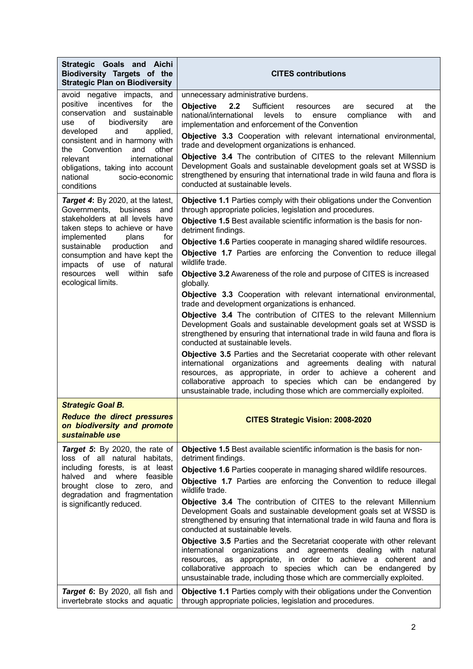| Strategic Goals and Aichi<br>Biodiversity Targets of the<br><b>Strategic Plan on Biodiversity</b>                                                                                                                                                                                                                                                              | <b>CITES contributions</b>                                                                                                                                                                                                                                                                                                                                                                                                                                                                                                                                                                                                                                                                                                                                                                                                                                                                                                                                                                                                                                                                                                                                                                                                                                                 |
|----------------------------------------------------------------------------------------------------------------------------------------------------------------------------------------------------------------------------------------------------------------------------------------------------------------------------------------------------------------|----------------------------------------------------------------------------------------------------------------------------------------------------------------------------------------------------------------------------------------------------------------------------------------------------------------------------------------------------------------------------------------------------------------------------------------------------------------------------------------------------------------------------------------------------------------------------------------------------------------------------------------------------------------------------------------------------------------------------------------------------------------------------------------------------------------------------------------------------------------------------------------------------------------------------------------------------------------------------------------------------------------------------------------------------------------------------------------------------------------------------------------------------------------------------------------------------------------------------------------------------------------------------|
| avoid negative impacts,<br>and<br>incentives<br>for<br>positive<br>the<br>conservation and sustainable<br>of<br>biodiversity<br>use<br>are<br>developed<br>and<br>applied,<br>consistent and in harmony with<br>Convention<br>and<br>other<br>the<br>international<br>relevant<br>obligations, taking into account<br>national<br>socio-economic<br>conditions | unnecessary administrative burdens.<br><b>Objective</b><br>Sufficient<br>2.2<br>the<br>at<br>resources<br>are<br>secured<br>national/international<br>levels<br>compliance<br>with<br>and<br>to<br>ensure<br>implementation and enforcement of the Convention                                                                                                                                                                                                                                                                                                                                                                                                                                                                                                                                                                                                                                                                                                                                                                                                                                                                                                                                                                                                              |
|                                                                                                                                                                                                                                                                                                                                                                | Objective 3.3 Cooperation with relevant international environmental,<br>trade and development organizations is enhanced.<br>Objective 3.4 The contribution of CITES to the relevant Millennium<br>Development Goals and sustainable development goals set at WSSD is<br>strengthened by ensuring that international trade in wild fauna and flora is<br>conducted at sustainable levels.                                                                                                                                                                                                                                                                                                                                                                                                                                                                                                                                                                                                                                                                                                                                                                                                                                                                                   |
| Target 4: By 2020, at the latest,<br>Governments,<br>business<br>and<br>stakeholders at all levels have<br>taken steps to achieve or have<br>implemented<br>plans<br>for<br>sustainable<br>production<br>and<br>consumption and have kept the<br>impacts of use of<br>natural<br>within<br>well<br>resources<br>safe<br>ecological limits.                     | <b>Objective 1.1 Parties comply with their obligations under the Convention</b><br>through appropriate policies, legislation and procedures.<br>Objective 1.5 Best available scientific information is the basis for non-<br>detriment findings.<br>Objective 1.6 Parties cooperate in managing shared wildlife resources.<br>Objective 1.7 Parties are enforcing the Convention to reduce illegal<br>wildlife trade.<br><b>Objective 3.2</b> Awareness of the role and purpose of CITES is increased<br>globally.<br>Objective 3.3 Cooperation with relevant international environmental,<br>trade and development organizations is enhanced.<br>Objective 3.4 The contribution of CITES to the relevant Millennium<br>Development Goals and sustainable development goals set at WSSD is<br>strengthened by ensuring that international trade in wild fauna and flora is<br>conducted at sustainable levels.<br>Objective 3.5 Parties and the Secretariat cooperate with other relevant<br>international organizations and agreements dealing<br>with natural<br>resources, as appropriate, in order to achieve a coherent and<br>collaborative approach to species which can be endangered by<br>unsustainable trade, including those which are commercially exploited. |
| <b>Strategic Goal B.</b><br><b>Reduce the direct pressures</b><br>on biodiversity and promote<br>sustainable use                                                                                                                                                                                                                                               | <b>CITES Strategic Vision: 2008-2020</b>                                                                                                                                                                                                                                                                                                                                                                                                                                                                                                                                                                                                                                                                                                                                                                                                                                                                                                                                                                                                                                                                                                                                                                                                                                   |
| Target 5: By 2020, the rate of<br>loss of all natural habitats,<br>including forests, is at least<br>halved and where feasible<br>brought close to zero, and<br>degradation and fragmentation<br>is significantly reduced.                                                                                                                                     | Objective 1.5 Best available scientific information is the basis for non-<br>detriment findings.<br>Objective 1.6 Parties cooperate in managing shared wildlife resources.<br>Objective 1.7 Parties are enforcing the Convention to reduce illegal<br>wildlife trade.<br>Objective 3.4 The contribution of CITES to the relevant Millennium<br>Development Goals and sustainable development goals set at WSSD is<br>strengthened by ensuring that international trade in wild fauna and flora is<br>conducted at sustainable levels.<br>Objective 3.5 Parties and the Secretariat cooperate with other relevant<br>international organizations and agreements dealing with natural<br>resources, as appropriate, in order to achieve a coherent and<br>collaborative approach to species which can be endangered by<br>unsustainable trade, including those which are commercially exploited.                                                                                                                                                                                                                                                                                                                                                                             |
| Target 6: By 2020, all fish and<br>invertebrate stocks and aquatic                                                                                                                                                                                                                                                                                             | <b>Objective 1.1 Parties comply with their obligations under the Convention</b><br>through appropriate policies, legislation and procedures.                                                                                                                                                                                                                                                                                                                                                                                                                                                                                                                                                                                                                                                                                                                                                                                                                                                                                                                                                                                                                                                                                                                               |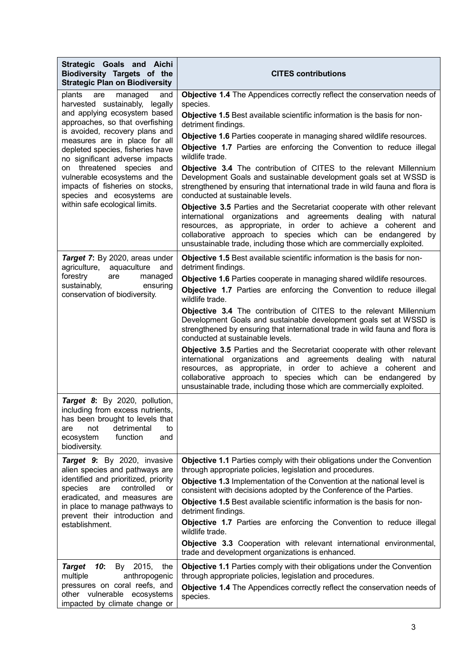| Strategic Goals and Aichi<br>Biodiversity Targets of the<br><b>Strategic Plan on Biodiversity</b>                                                                                                                                                                 | <b>CITES contributions</b>                                                                                                                                                                                                                                                                                                                            |
|-------------------------------------------------------------------------------------------------------------------------------------------------------------------------------------------------------------------------------------------------------------------|-------------------------------------------------------------------------------------------------------------------------------------------------------------------------------------------------------------------------------------------------------------------------------------------------------------------------------------------------------|
| are<br>plants<br>managed<br>and<br>harvested sustainably, legally<br>and applying ecosystem based<br>approaches, so that overfishing                                                                                                                              | Objective 1.4 The Appendices correctly reflect the conservation needs of<br>species.                                                                                                                                                                                                                                                                  |
|                                                                                                                                                                                                                                                                   | Objective 1.5 Best available scientific information is the basis for non-<br>detriment findings.                                                                                                                                                                                                                                                      |
| is avoided, recovery plans and<br>measures are in place for all                                                                                                                                                                                                   | Objective 1.6 Parties cooperate in managing shared wildlife resources.                                                                                                                                                                                                                                                                                |
| depleted species, fisheries have<br>no significant adverse impacts                                                                                                                                                                                                | Objective 1.7 Parties are enforcing the Convention to reduce illegal<br>wildlife trade.                                                                                                                                                                                                                                                               |
| on threatened species and<br>vulnerable ecosystems and the<br>impacts of fisheries on stocks,<br>species and ecosystems are<br>within safe ecological limits.                                                                                                     | Objective 3.4 The contribution of CITES to the relevant Millennium<br>Development Goals and sustainable development goals set at WSSD is<br>strengthened by ensuring that international trade in wild fauna and flora is<br>conducted at sustainable levels.                                                                                          |
|                                                                                                                                                                                                                                                                   | Objective 3.5 Parties and the Secretariat cooperate with other relevant<br>international organizations and agreements dealing with natural<br>resources, as appropriate, in order to achieve a coherent and<br>collaborative approach to species which can be endangered by<br>unsustainable trade, including those which are commercially exploited. |
| Target 7: By 2020, areas under<br>agriculture,<br>aquaculture<br>and                                                                                                                                                                                              | Objective 1.5 Best available scientific information is the basis for non-<br>detriment findings.                                                                                                                                                                                                                                                      |
| forestry<br>are<br>managed<br>sustainably,<br>ensuring                                                                                                                                                                                                            | Objective 1.6 Parties cooperate in managing shared wildlife resources.                                                                                                                                                                                                                                                                                |
| conservation of biodiversity.                                                                                                                                                                                                                                     | Objective 1.7 Parties are enforcing the Convention to reduce illegal<br>wildlife trade.                                                                                                                                                                                                                                                               |
|                                                                                                                                                                                                                                                                   | Objective 3.4 The contribution of CITES to the relevant Millennium<br>Development Goals and sustainable development goals set at WSSD is<br>strengthened by ensuring that international trade in wild fauna and flora is<br>conducted at sustainable levels.                                                                                          |
|                                                                                                                                                                                                                                                                   | Objective 3.5 Parties and the Secretariat cooperate with other relevant<br>international organizations and agreements dealing with natural<br>resources, as appropriate, in order to achieve a coherent and<br>collaborative approach to species which can be endangered by<br>unsustainable trade, including those which are commercially exploited. |
| Target 8: By 2020, pollution,<br>including from excess nutrients,<br>has been brought to levels that<br>detrimental<br>not<br>are<br>to<br>function<br>ecosystem<br>and<br>biodiversity.                                                                          |                                                                                                                                                                                                                                                                                                                                                       |
| Target 9: By 2020, invasive<br>alien species and pathways are<br>identified and prioritized, priority<br>species<br>are<br>controlled<br>or<br>eradicated, and measures are<br>in place to manage pathways to<br>prevent their introduction and<br>establishment. | Objective 1.1 Parties comply with their obligations under the Convention<br>through appropriate policies, legislation and procedures.                                                                                                                                                                                                                 |
|                                                                                                                                                                                                                                                                   | Objective 1.3 Implementation of the Convention at the national level is<br>consistent with decisions adopted by the Conference of the Parties.                                                                                                                                                                                                        |
|                                                                                                                                                                                                                                                                   | Objective 1.5 Best available scientific information is the basis for non-<br>detriment findings.                                                                                                                                                                                                                                                      |
|                                                                                                                                                                                                                                                                   | Objective 1.7 Parties are enforcing the Convention to reduce illegal<br>wildlife trade.                                                                                                                                                                                                                                                               |
|                                                                                                                                                                                                                                                                   | Objective 3.3 Cooperation with relevant international environmental,<br>trade and development organizations is enhanced.                                                                                                                                                                                                                              |
| <b>Target</b><br>10:<br>By 2015,<br>the<br>multiple<br>anthropogenic<br>pressures on coral reefs, and<br>other vulnerable ecosystems<br>impacted by climate change or                                                                                             | <b>Objective 1.1 Parties comply with their obligations under the Convention</b><br>through appropriate policies, legislation and procedures.                                                                                                                                                                                                          |
|                                                                                                                                                                                                                                                                   | Objective 1.4 The Appendices correctly reflect the conservation needs of<br>species.                                                                                                                                                                                                                                                                  |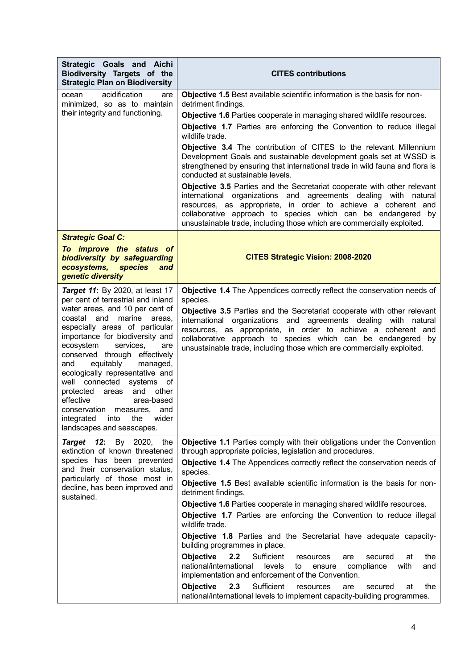| Strategic Goals and Aichi<br>Biodiversity Targets of the<br><b>Strategic Plan on Biodiversity</b>                                                                                                                                                                                                                                                                                                                                                                                                                                                                 | <b>CITES contributions</b>                                                                                                                                                                                                                                                                                                                                                                                                                                                                                                                                                                                                                                                                                                                                                                                                                                                                                                                                                                                      |
|-------------------------------------------------------------------------------------------------------------------------------------------------------------------------------------------------------------------------------------------------------------------------------------------------------------------------------------------------------------------------------------------------------------------------------------------------------------------------------------------------------------------------------------------------------------------|-----------------------------------------------------------------------------------------------------------------------------------------------------------------------------------------------------------------------------------------------------------------------------------------------------------------------------------------------------------------------------------------------------------------------------------------------------------------------------------------------------------------------------------------------------------------------------------------------------------------------------------------------------------------------------------------------------------------------------------------------------------------------------------------------------------------------------------------------------------------------------------------------------------------------------------------------------------------------------------------------------------------|
| acidification<br>ocean<br>are<br>minimized, so as to maintain<br>their integrity and functioning.                                                                                                                                                                                                                                                                                                                                                                                                                                                                 | Objective 1.5 Best available scientific information is the basis for non-<br>detriment findings.<br>Objective 1.6 Parties cooperate in managing shared wildlife resources.<br>Objective 1.7 Parties are enforcing the Convention to reduce illegal<br>wildlife trade.<br>Objective 3.4 The contribution of CITES to the relevant Millennium<br>Development Goals and sustainable development goals set at WSSD is<br>strengthened by ensuring that international trade in wild fauna and flora is<br>conducted at sustainable levels.<br>Objective 3.5 Parties and the Secretariat cooperate with other relevant<br>international organizations and agreements dealing with natural<br>resources, as appropriate, in order to achieve a coherent and<br>collaborative approach to species which can be endangered by<br>unsustainable trade, including those which are commercially exploited.                                                                                                                  |
| <b>Strategic Goal C:</b><br>To improve the status of<br>biodiversity by safeguarding<br>ecosystems,<br><b>species</b><br>and<br>genetic diversity                                                                                                                                                                                                                                                                                                                                                                                                                 | <b>CITES Strategic Vision: 2008-2020</b>                                                                                                                                                                                                                                                                                                                                                                                                                                                                                                                                                                                                                                                                                                                                                                                                                                                                                                                                                                        |
| <b>Target 11:</b> By 2020, at least 17<br>per cent of terrestrial and inland<br>water areas, and 10 per cent of<br>marine<br>coastal and<br>areas,<br>especially areas of particular<br>importance for biodiversity and<br>services,<br>ecosystem<br>are<br>conserved through effectively<br>equitably<br>managed,<br>and<br>ecologically representative and<br>well connected<br>systems<br>οf<br>and other<br>protected<br>areas<br>effective<br>area-based<br>conservation measures,<br>and<br>into<br>the<br>integrated<br>wider<br>landscapes and seascapes. | Objective 1.4 The Appendices correctly reflect the conservation needs of<br>species.<br>Objective 3.5 Parties and the Secretariat cooperate with other relevant<br>international organizations and agreements dealing with natural<br>resources, as appropriate, in order to achieve a coherent and<br>collaborative approach to species which can be endangered by<br>unsustainable trade, including those which are commercially exploited.                                                                                                                                                                                                                                                                                                                                                                                                                                                                                                                                                                   |
| Target 12:<br>By 2020, the<br>extinction of known threatened<br>species has been prevented<br>and their conservation status,<br>particularly of those most in<br>decline, has been improved and<br>sustained.                                                                                                                                                                                                                                                                                                                                                     | <b>Objective 1.1 Parties comply with their obligations under the Convention</b><br>through appropriate policies, legislation and procedures.<br>Objective 1.4 The Appendices correctly reflect the conservation needs of<br>species.<br>Objective 1.5 Best available scientific information is the basis for non-<br>detriment findings.<br><b>Objective 1.6 Parties cooperate in managing shared wildlife resources.</b><br>Objective 1.7 Parties are enforcing the Convention to reduce illegal<br>wildlife trade.<br>Objective 1.8 Parties and the Secretariat have adequate capacity-<br>building programmes in place.<br>Objective<br>2.2<br>Sufficient<br>secured<br>at<br>the<br>resources<br>are<br>national/international<br>levels<br>compliance<br>with<br>ensure<br>and<br>to<br>implementation and enforcement of the Convention.<br>2.3<br>Sufficient<br><b>Objective</b><br>the<br>resources<br>secured<br>at<br>are<br>national/international levels to implement capacity-building programmes. |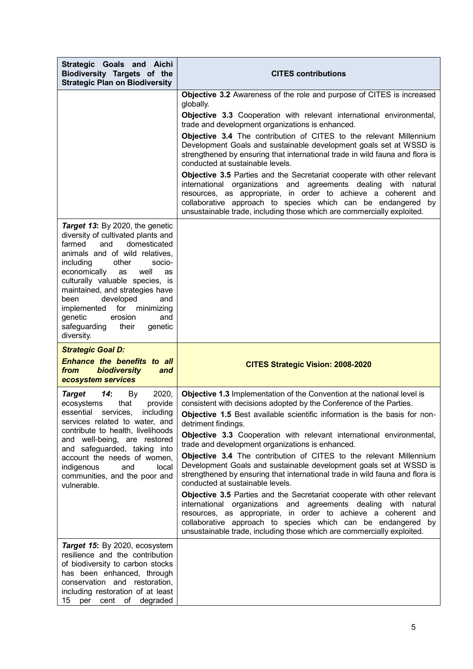| Strategic Goals and Aichi<br>Biodiversity Targets of the<br><b>Strategic Plan on Biodiversity</b>                                                                                                                                                                                                                                                                                                                           | <b>CITES contributions</b>                                                                                                                                                                                                                                                                                                                                                                                                                                                                                                                                                                                                                                                                                                                                                                                                                                                                                                                                                                              |
|-----------------------------------------------------------------------------------------------------------------------------------------------------------------------------------------------------------------------------------------------------------------------------------------------------------------------------------------------------------------------------------------------------------------------------|---------------------------------------------------------------------------------------------------------------------------------------------------------------------------------------------------------------------------------------------------------------------------------------------------------------------------------------------------------------------------------------------------------------------------------------------------------------------------------------------------------------------------------------------------------------------------------------------------------------------------------------------------------------------------------------------------------------------------------------------------------------------------------------------------------------------------------------------------------------------------------------------------------------------------------------------------------------------------------------------------------|
|                                                                                                                                                                                                                                                                                                                                                                                                                             | Objective 3.2 Awareness of the role and purpose of CITES is increased<br>globally.                                                                                                                                                                                                                                                                                                                                                                                                                                                                                                                                                                                                                                                                                                                                                                                                                                                                                                                      |
|                                                                                                                                                                                                                                                                                                                                                                                                                             | Objective 3.3 Cooperation with relevant international environmental,<br>trade and development organizations is enhanced.                                                                                                                                                                                                                                                                                                                                                                                                                                                                                                                                                                                                                                                                                                                                                                                                                                                                                |
|                                                                                                                                                                                                                                                                                                                                                                                                                             | Objective 3.4 The contribution of CITES to the relevant Millennium<br>Development Goals and sustainable development goals set at WSSD is<br>strengthened by ensuring that international trade in wild fauna and flora is<br>conducted at sustainable levels.                                                                                                                                                                                                                                                                                                                                                                                                                                                                                                                                                                                                                                                                                                                                            |
|                                                                                                                                                                                                                                                                                                                                                                                                                             | Objective 3.5 Parties and the Secretariat cooperate with other relevant<br>international organizations and agreements dealing with natural<br>resources, as appropriate, in order to achieve a coherent and<br>collaborative approach to species which can be endangered by<br>unsustainable trade, including those which are commercially exploited.                                                                                                                                                                                                                                                                                                                                                                                                                                                                                                                                                                                                                                                   |
| Target 13: By 2020, the genetic<br>diversity of cultivated plants and<br>farmed<br>and<br>domesticated<br>animals and of wild relatives,<br>including<br>other<br>socio-<br>economically<br>well<br>as<br>as<br>culturally valuable species, is<br>maintained, and strategies have<br>developed<br>been<br>and<br>implemented for minimizing<br>genetic<br>erosion<br>and<br>safeguarding<br>their<br>genetic<br>diversity. |                                                                                                                                                                                                                                                                                                                                                                                                                                                                                                                                                                                                                                                                                                                                                                                                                                                                                                                                                                                                         |
| <b>Strategic Goal D:</b>                                                                                                                                                                                                                                                                                                                                                                                                    |                                                                                                                                                                                                                                                                                                                                                                                                                                                                                                                                                                                                                                                                                                                                                                                                                                                                                                                                                                                                         |
| <b>Enhance the benefits to all</b><br>biodiversity<br><b>from</b><br>and<br>ecosystem services                                                                                                                                                                                                                                                                                                                              | <b>CITES Strategic Vision: 2008-2020</b>                                                                                                                                                                                                                                                                                                                                                                                                                                                                                                                                                                                                                                                                                                                                                                                                                                                                                                                                                                |
| <b>Target</b><br>14:<br>2020,<br>By<br>ecosystems<br>that<br>provide<br>essential services, including<br>services related to water, and<br>contribute to health, livelihoods<br>and well-being, are restored<br>and safeguarded, taking into<br>account the needs of women,<br>indigenous<br>and<br>local<br>communities, and the poor and<br>vulnerable.                                                                   | Objective 1.3 Implementation of the Convention at the national level is<br>consistent with decisions adopted by the Conference of the Parties.<br>Objective 1.5 Best available scientific information is the basis for non-<br>detriment findings.<br>Objective 3.3 Cooperation with relevant international environmental,<br>trade and development organizations is enhanced.<br>Objective 3.4 The contribution of CITES to the relevant Millennium<br>Development Goals and sustainable development goals set at WSSD is<br>strengthened by ensuring that international trade in wild fauna and flora is<br>conducted at sustainable levels.<br>Objective 3.5 Parties and the Secretariat cooperate with other relevant<br>international organizations and agreements dealing with natural<br>resources, as appropriate, in order to achieve a coherent and<br>collaborative approach to species which can be endangered by<br>unsustainable trade, including those which are commercially exploited. |
| Target 15: By 2020, ecosystem<br>resilience and the contribution<br>of biodiversity to carbon stocks<br>has been enhanced, through<br>conservation and restoration,<br>including restoration of at least<br>per cent of degraded<br>15                                                                                                                                                                                      |                                                                                                                                                                                                                                                                                                                                                                                                                                                                                                                                                                                                                                                                                                                                                                                                                                                                                                                                                                                                         |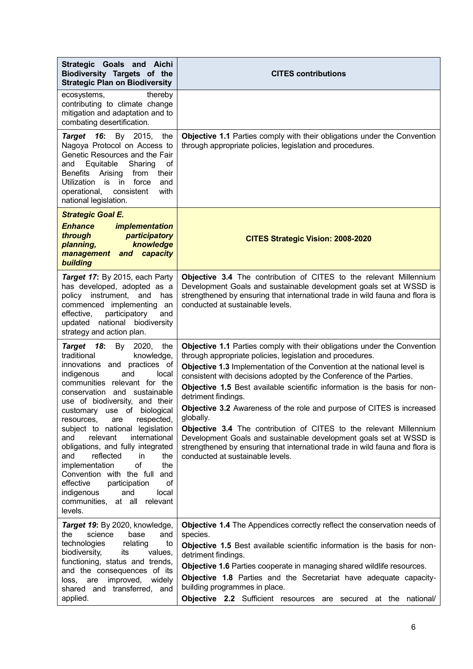| Strategic Goals and Aichi<br>Biodiversity Targets of the<br><b>Strategic Plan on Biodiversity</b>                                                                                                                                                                                                                                                                                                                                                                                                                                                                                                                     | <b>CITES contributions</b>                                                                                                                                                                                                                                                                                                                                                                                                                                                                                                                                                                                                                                                                                                                                             |
|-----------------------------------------------------------------------------------------------------------------------------------------------------------------------------------------------------------------------------------------------------------------------------------------------------------------------------------------------------------------------------------------------------------------------------------------------------------------------------------------------------------------------------------------------------------------------------------------------------------------------|------------------------------------------------------------------------------------------------------------------------------------------------------------------------------------------------------------------------------------------------------------------------------------------------------------------------------------------------------------------------------------------------------------------------------------------------------------------------------------------------------------------------------------------------------------------------------------------------------------------------------------------------------------------------------------------------------------------------------------------------------------------------|
| ecosystems,<br>thereby<br>contributing to climate change<br>mitigation and adaptation and to<br>combating desertification.                                                                                                                                                                                                                                                                                                                                                                                                                                                                                            |                                                                                                                                                                                                                                                                                                                                                                                                                                                                                                                                                                                                                                                                                                                                                                        |
| Target 16:<br>By 2015,<br>the<br>Nagoya Protocol on Access to<br>Genetic Resources and the Fair<br>Equitable<br>Sharing<br>οf<br>and<br>Benefits Arising<br>from<br>their<br>Utilization is in<br>force<br>and<br>with<br>operational,<br>consistent<br>national legislation.                                                                                                                                                                                                                                                                                                                                         | <b>Objective 1.1 Parties comply with their obligations under the Convention</b><br>through appropriate policies, legislation and procedures.                                                                                                                                                                                                                                                                                                                                                                                                                                                                                                                                                                                                                           |
| <b>Strategic Goal E.</b><br><i><b>Enhance</b></i><br><i>implementation</i><br>through<br>participatory<br>knowledge<br>planning,<br>management and capacity<br>building                                                                                                                                                                                                                                                                                                                                                                                                                                               | <b>CITES Strategic Vision: 2008-2020</b>                                                                                                                                                                                                                                                                                                                                                                                                                                                                                                                                                                                                                                                                                                                               |
| Target 17: By 2015, each Party<br>has developed, adopted as a<br>instrument,<br>policy<br>and<br>has<br>commenced implementing<br>an<br>effective,<br>participatory<br>and<br>updated national biodiversity<br>strategy and action plan.                                                                                                                                                                                                                                                                                                                                                                              | Objective 3.4 The contribution of CITES to the relevant Millennium<br>Development Goals and sustainable development goals set at WSSD is<br>strengthened by ensuring that international trade in wild fauna and flora is<br>conducted at sustainable levels.                                                                                                                                                                                                                                                                                                                                                                                                                                                                                                           |
| Target 18:<br>By 2020, the<br>traditional<br>knowledge,<br>innovations and practices of<br>indigenous<br>and<br>local<br>communities relevant for the<br>conservation and sustainable<br>use of biodiversity, and their<br>customary use of biological<br>respected,<br>resources,<br>are<br>subject to national legislation<br>relevant<br>international<br>and<br>obligations, and fully integrated<br>reflected<br>and<br>in<br>the<br>of<br>implementation<br>the<br>Convention with the full and<br>effective<br>participation<br>οf<br>indigenous<br>and<br>local<br>communities, at all<br>relevant<br>levels. | <b>Objective 1.1 Parties comply with their obligations under the Convention</b><br>through appropriate policies, legislation and procedures.<br>Objective 1.3 Implementation of the Convention at the national level is<br>consistent with decisions adopted by the Conference of the Parties.<br>Objective 1.5 Best available scientific information is the basis for non-<br>detriment findings.<br><b>Objective 3.2</b> Awareness of the role and purpose of CITES is increased<br>globally.<br><b>Objective 3.4</b> The contribution of CITES to the relevant Millennium<br>Development Goals and sustainable development goals set at WSSD is<br>strengthened by ensuring that international trade in wild fauna and flora is<br>conducted at sustainable levels. |
| Target 19: By 2020, knowledge,<br>science<br>base<br>the<br>and<br>technologies<br>relating<br>to<br>biodiversity,<br>its<br>values,<br>functioning, status and trends,<br>and the consequences of its<br>improved,<br>loss, are<br>widely<br>shared and transferred, and<br>applied.                                                                                                                                                                                                                                                                                                                                 | Objective 1.4 The Appendices correctly reflect the conservation needs of<br>species.<br>Objective 1.5 Best available scientific information is the basis for non-<br>detriment findings.<br>Objective 1.6 Parties cooperate in managing shared wildlife resources.<br>Objective 1.8 Parties and the Secretariat have adequate capacity-<br>building programmes in place.<br><b>Objective 2.2</b> Sufficient resources are secured at the national/                                                                                                                                                                                                                                                                                                                     |